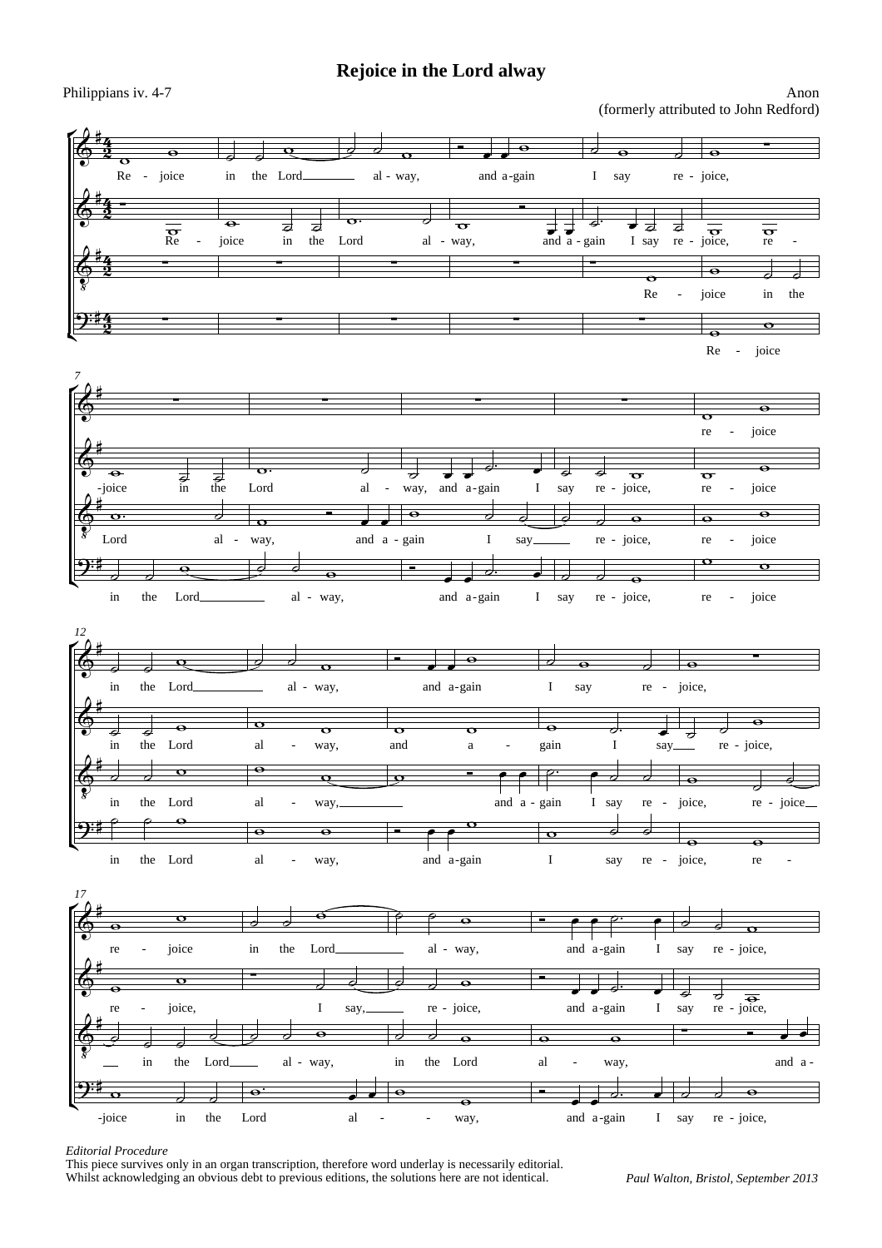## **Rejoice in the Lord alway**

## Philippians iv. 4-7 Anon (formerly attributed to John Redford)



## *Editorial Procedure*

This piece survives only in an organ transcription, therefore word underlay is necessarily editorial. Whilst acknowledging an obvious debt to previous editions, the solutions here are not identical.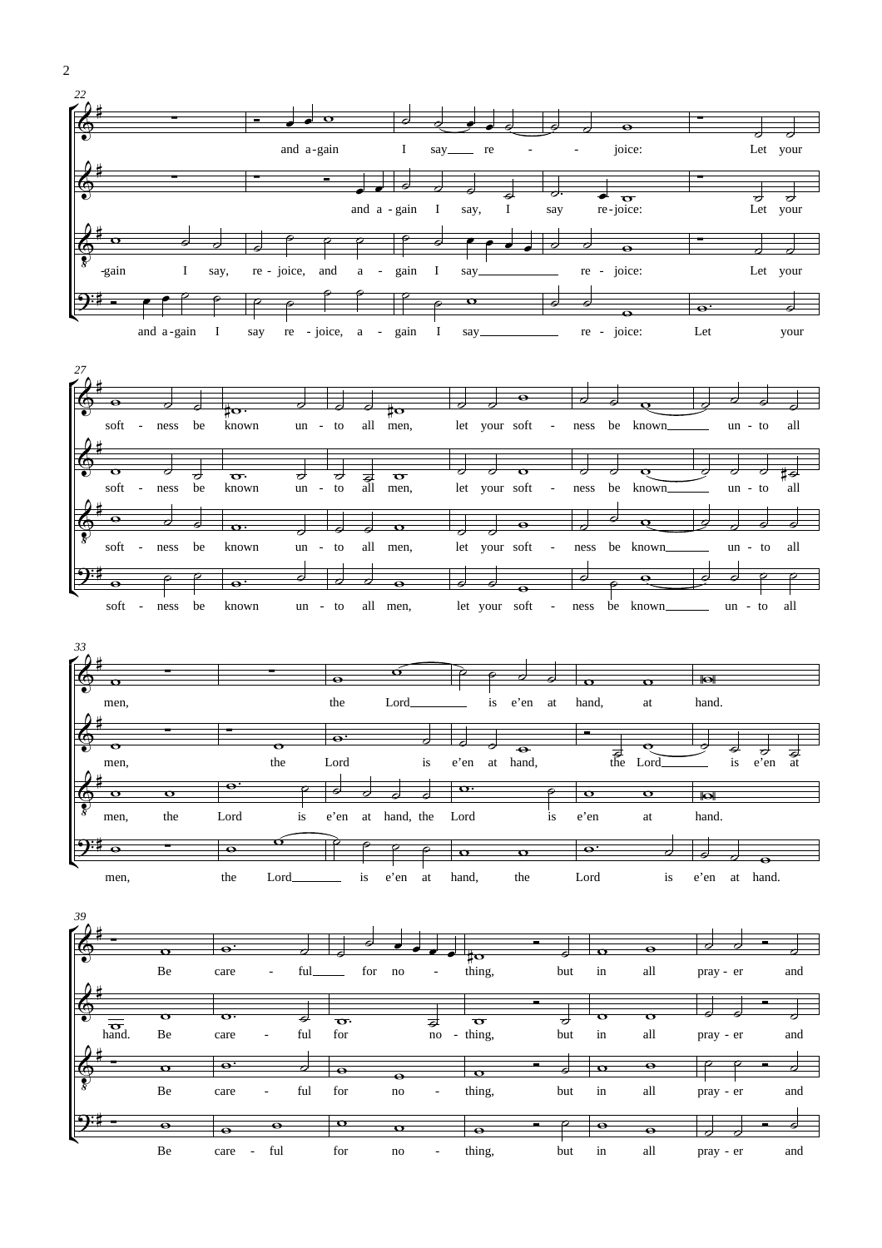







2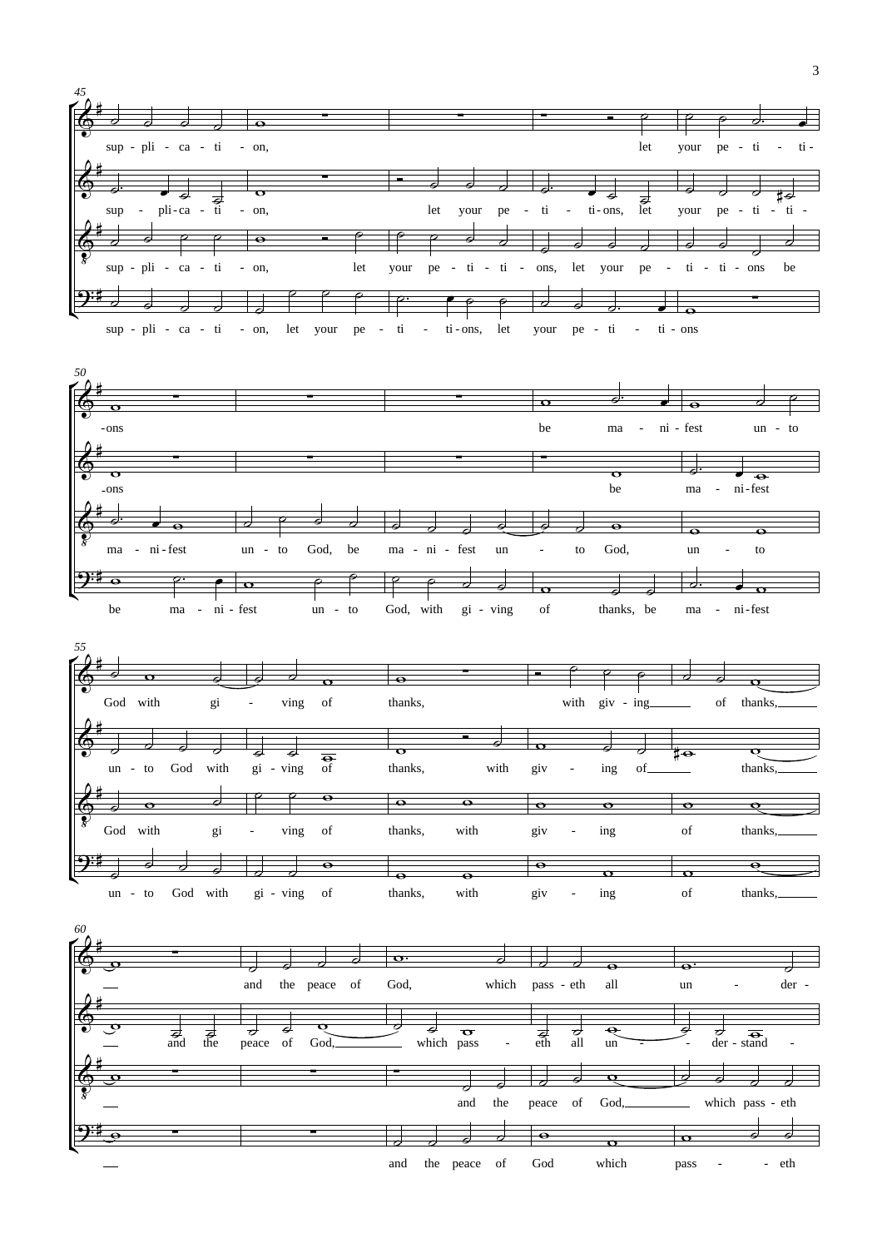